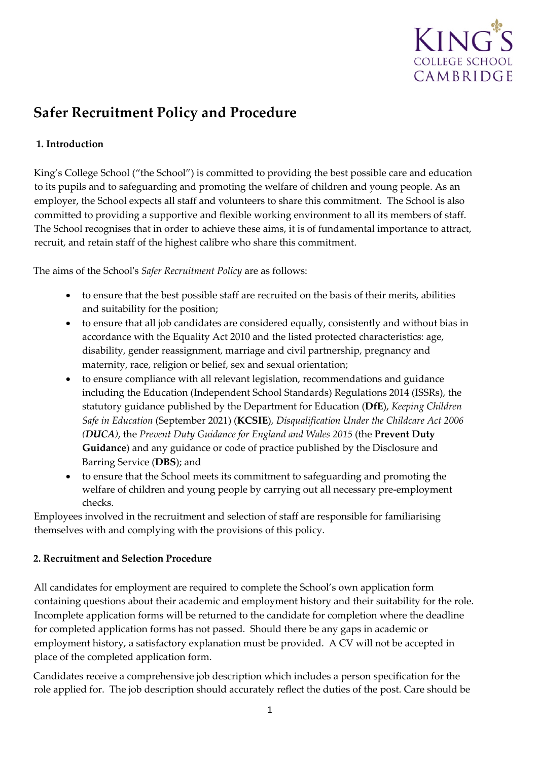

# **Safer Recruitment Policy and Procedure**

## **1. Introduction**

King's College School ("the School") is committed to providing the best possible care and education to its pupils and to safeguarding and promoting the welfare of children and young people. As an employer, the School expects all staff and volunteers to share this commitment. The School is also committed to providing a supportive and flexible working environment to all its members of staff. The School recognises that in order to achieve these aims, it is of fundamental importance to attract, recruit, and retain staff of the highest calibre who share this commitment.

The aims of the School's *Safer Recruitment Policy* are as follows:

- to ensure that the best possible staff are recruited on the basis of their merits, abilities and suitability for the position;
- to ensure that all job candidates are considered equally, consistently and without bias in accordance with the Equality Act 2010 and the listed protected characteristics: age, disability, gender reassignment, marriage and civil partnership, pregnancy and maternity, race, religion or belief, sex and sexual orientation;
- to ensure compliance with all relevant legislation, recommendations and guidance including the Education (Independent School Standards) Regulations 2014 (ISSRs), the statutory guidance published by the Department for Education (**DfE**), *Keeping Children Safe in Education* (September 2021) (**KCSIE**), *Disqualification Under the Childcare Act 2006 (DUCA)*, the *Prevent Duty Guidance for England and Wales 2015* (the **Prevent Duty Guidance**) and any guidance or code of practice published by the Disclosure and Barring Service (**DBS**); and
- to ensure that the School meets its commitment to safeguarding and promoting the welfare of children and young people by carrying out all necessary pre-employment checks.

Employees involved in the recruitment and selection of staff are responsible for familiarising themselves with and complying with the provisions of this policy.

### **2. Recruitment and Selection Procedure**

All candidates for employment are required to complete the School's own application form containing questions about their academic and employment history and their suitability for the role. Incomplete application forms will be returned to the candidate for completion where the deadline for completed application forms has not passed. Should there be any gaps in academic or employment history, a satisfactory explanation must be provided. A CV will not be accepted in place of the completed application form.

Candidates receive a comprehensive job description which includes a person specification for the role applied for. The job description should accurately reflect the duties of the post. Care should be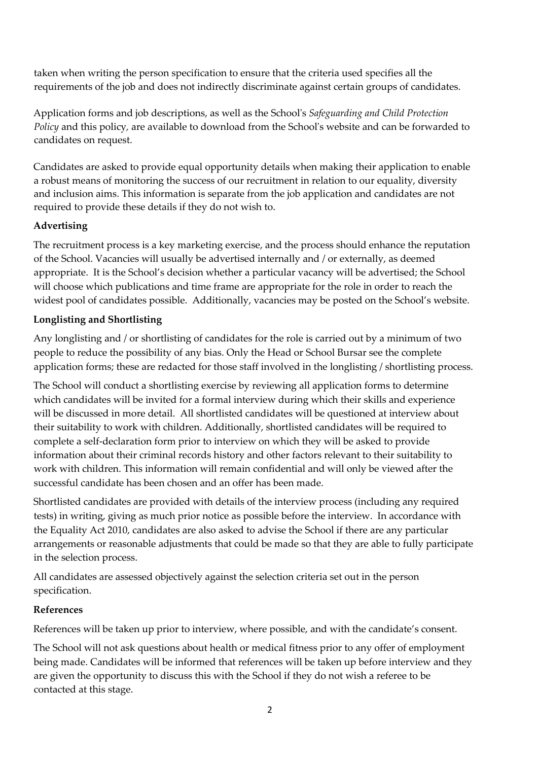taken when writing the person specification to ensure that the criteria used specifies all the requirements of the job and does not indirectly discriminate against certain groups of candidates.

Application forms and job descriptions, as well as the School's *Safeguarding and Child Protection Policy* and this policy*,* are available to download from the School's website and can be forwarded to candidates on request.

Candidates are asked to provide equal opportunity details when making their application to enable a robust means of monitoring the success of our recruitment in relation to our equality, diversity and inclusion aims. This information is separate from the job application and candidates are not required to provide these details if they do not wish to.

## **Advertising**

The recruitment process is a key marketing exercise, and the process should enhance the reputation of the School. Vacancies will usually be advertised internally and / or externally, as deemed appropriate. It is the School's decision whether a particular vacancy will be advertised; the School will choose which publications and time frame are appropriate for the role in order to reach the widest pool of candidates possible. Additionally, vacancies may be posted on the School's website.

## **Longlisting and Shortlisting**

Any longlisting and / or shortlisting of candidates for the role is carried out by a minimum of two people to reduce the possibility of any bias. Only the Head or School Bursar see the complete application forms; these are redacted for those staff involved in the longlisting / shortlisting process.

The School will conduct a shortlisting exercise by reviewing all application forms to determine which candidates will be invited for a formal interview during which their skills and experience will be discussed in more detail. All shortlisted candidates will be questioned at interview about their suitability to work with children. Additionally, shortlisted candidates will be required to complete a self-declaration form prior to interview on which they will be asked to provide information about their criminal records history and other factors relevant to their suitability to work with children. This information will remain confidential and will only be viewed after the successful candidate has been chosen and an offer has been made.

Shortlisted candidates are provided with details of the interview process (including any required tests) in writing, giving as much prior notice as possible before the interview. In accordance with the Equality Act 2010, candidates are also asked to advise the School if there are any particular arrangements or reasonable adjustments that could be made so that they are able to fully participate in the selection process.

All candidates are assessed objectively against the selection criteria set out in the person specification.

### **References**

References will be taken up prior to interview, where possible, and with the candidate's consent.

The School will not ask questions about health or medical fitness prior to any offer of employment being made. Candidates will be informed that references will be taken up before interview and they are given the opportunity to discuss this with the School if they do not wish a referee to be contacted at this stage.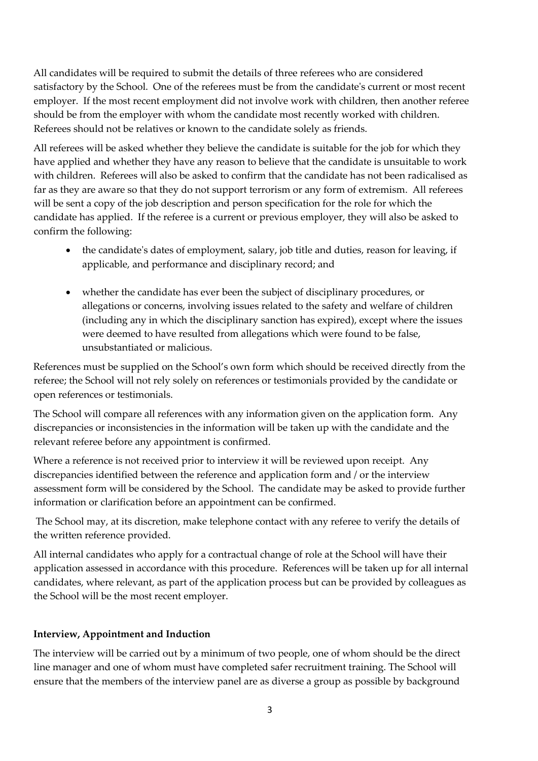All candidates will be required to submit the details of three referees who are considered satisfactory by the School. One of the referees must be from the candidate's current or most recent employer. If the most recent employment did not involve work with children, then another referee should be from the employer with whom the candidate most recently worked with children. Referees should not be relatives or known to the candidate solely as friends.

All referees will be asked whether they believe the candidate is suitable for the job for which they have applied and whether they have any reason to believe that the candidate is unsuitable to work with children. Referees will also be asked to confirm that the candidate has not been radicalised as far as they are aware so that they do not support terrorism or any form of extremism. All referees will be sent a copy of the job description and person specification for the role for which the candidate has applied. If the referee is a current or previous employer, they will also be asked to confirm the following:

- the candidate's dates of employment, salary, job title and duties, reason for leaving, if applicable, and performance and disciplinary record; and
- whether the candidate has ever been the subject of disciplinary procedures, or allegations or concerns, involving issues related to the safety and welfare of children (including any in which the disciplinary sanction has expired), except where the issues were deemed to have resulted from allegations which were found to be false, unsubstantiated or malicious.

References must be supplied on the School's own form which should be received directly from the referee; the School will not rely solely on references or testimonials provided by the candidate or open references or testimonials.

The School will compare all references with any information given on the application form. Any discrepancies or inconsistencies in the information will be taken up with the candidate and the relevant referee before any appointment is confirmed.

Where a reference is not received prior to interview it will be reviewed upon receipt. Any discrepancies identified between the reference and application form and / or the interview assessment form will be considered by the School. The candidate may be asked to provide further information or clarification before an appointment can be confirmed.

The School may, at its discretion, make telephone contact with any referee to verify the details of the written reference provided.

All internal candidates who apply for a contractual change of role at the School will have their application assessed in accordance with this procedure. References will be taken up for all internal candidates, where relevant, as part of the application process but can be provided by colleagues as the School will be the most recent employer.

# **Interview, Appointment and Induction**

The interview will be carried out by a minimum of two people, one of whom should be the direct line manager and one of whom must have completed safer recruitment training. The School will ensure that the members of the interview panel are as diverse a group as possible by background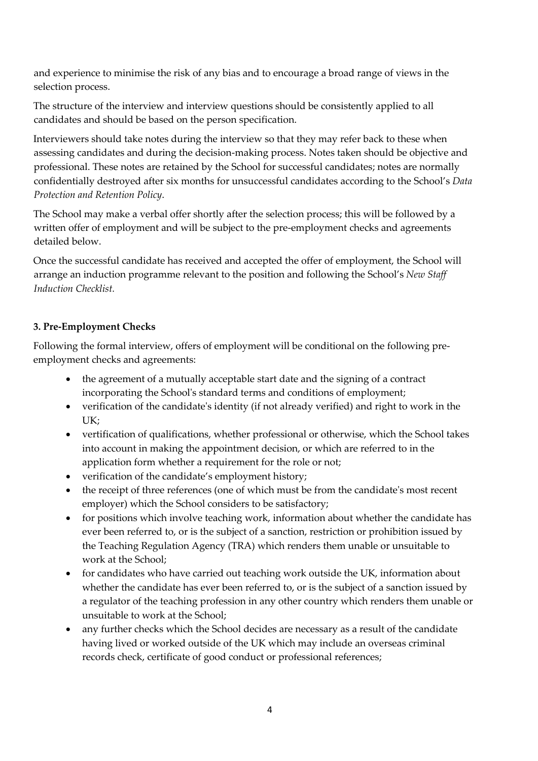and experience to minimise the risk of any bias and to encourage a broad range of views in the selection process.

The structure of the interview and interview questions should be consistently applied to all candidates and should be based on the person specification.

Interviewers should take notes during the interview so that they may refer back to these when assessing candidates and during the decision-making process. Notes taken should be objective and professional. These notes are retained by the School for successful candidates; notes are normally confidentially destroyed after six months for unsuccessful candidates according to the School's *Data Protection and Retention Policy*.

The School may make a verbal offer shortly after the selection process; this will be followed by a written offer of employment and will be subject to the pre-employment checks and agreements detailed below.

Once the successful candidate has received and accepted the offer of employment, the School will arrange an induction programme relevant to the position and following the School's *New Staff Induction Checklist.* 

### **3. Pre-Employment Checks**

Following the formal interview, offers of employment will be conditional on the following preemployment checks and agreements:

- the agreement of a mutually acceptable start date and the signing of a contract incorporating the School's standard terms and conditions of employment;
- verification of the candidate's identity (if not already verified) and right to work in the UK;
- vertification of qualifications, whether professional or otherwise, which the School takes into account in making the appointment decision, or which are referred to in the application form whether a requirement for the role or not;
- verification of the candidate's employment history;
- the receipt of three references (one of which must be from the candidate's most recent employer) which the School considers to be satisfactory;
- for positions which involve teaching work, information about whether the candidate has ever been referred to, or is the subject of a sanction, restriction or prohibition issued by the Teaching Regulation Agency (TRA) which renders them unable or unsuitable to work at the School;
- for candidates who have carried out teaching work outside the UK, information about whether the candidate has ever been referred to, or is the subject of a sanction issued by a regulator of the teaching profession in any other country which renders them unable or unsuitable to work at the School;
- any further checks which the School decides are necessary as a result of the candidate having lived or worked outside of the UK which may include an overseas criminal records check, certificate of good conduct or professional references;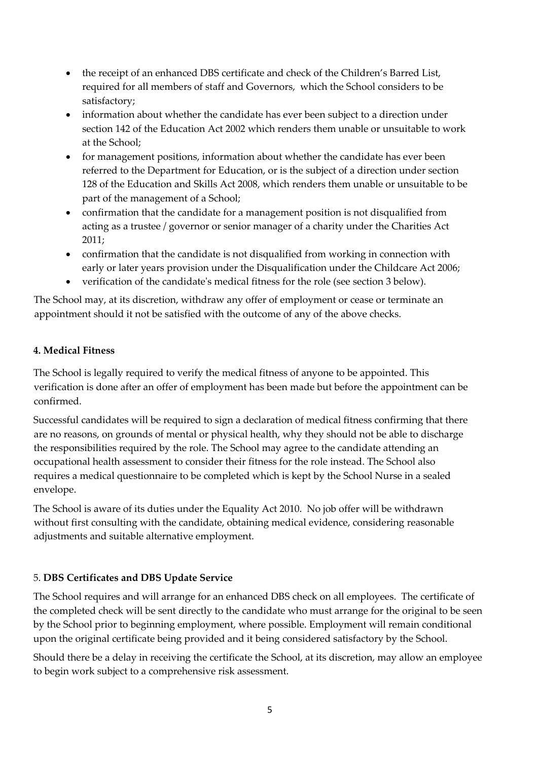- the receipt of an enhanced DBS certificate and check of the Children's Barred List, required for all members of staff and Governors, which the School considers to be satisfactory;
- information about whether the candidate has ever been subject to a direction under section 142 of the Education Act 2002 which renders them unable or unsuitable to work at the School;
- for management positions, information about whether the candidate has ever been referred to the Department for Education, or is the subject of a direction under section 128 of the Education and Skills Act 2008, which renders them unable or unsuitable to be part of the management of a School;
- confirmation that the candidate for a management position is not disqualified from acting as a trustee / governor or senior manager of a charity under the Charities Act 2011;
- confirmation that the candidate is not disqualified from working in connection with early or later years provision under the Disqualification under the Childcare Act 2006;
- verification of the candidate's medical fitness for the role (see section 3 below).

The School may, at its discretion, withdraw any offer of employment or cease or terminate an appointment should it not be satisfied with the outcome of any of the above checks.

### **4. Medical Fitness**

The School is legally required to verify the medical fitness of anyone to be appointed. This verification is done after an offer of employment has been made but before the appointment can be confirmed.

Successful candidates will be required to sign a declaration of medical fitness confirming that there are no reasons, on grounds of mental or physical health, why they should not be able to discharge the responsibilities required by the role. The School may agree to the candidate attending an occupational health assessment to consider their fitness for the role instead. The School also requires a medical questionnaire to be completed which is kept by the School Nurse in a sealed envelope.

The School is aware of its duties under the Equality Act 2010. No job offer will be withdrawn without first consulting with the candidate, obtaining medical evidence, considering reasonable adjustments and suitable alternative employment.

# 5. **DBS Certificates and DBS Update Service**

The School requires and will arrange for an enhanced DBS check on all employees. The certificate of the completed check will be sent directly to the candidate who must arrange for the original to be seen by the School prior to beginning employment, where possible. Employment will remain conditional upon the original certificate being provided and it being considered satisfactory by the School.

Should there be a delay in receiving the certificate the School, at its discretion, may allow an employee to begin work subject to a comprehensive risk assessment.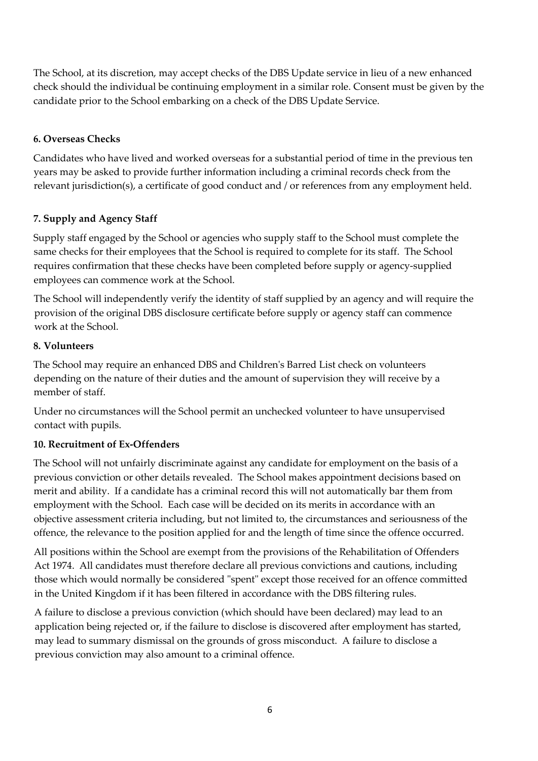The School, at its discretion, may accept checks of the DBS Update service in lieu of a new enhanced check should the individual be continuing employment in a similar role. Consent must be given by the candidate prior to the School embarking on a check of the DBS Update Service.

## **6. Overseas Checks**

Candidates who have lived and worked overseas for a substantial period of time in the previous ten years may be asked to provide further information including a criminal records check from the relevant jurisdiction(s), a certificate of good conduct and / or references from any employment held.

## **7. Supply and Agency Staff**

Supply staff engaged by the School or agencies who supply staff to the School must complete the same checks for their employees that the School is required to complete for its staff. The School requires confirmation that these checks have been completed before supply or agency-supplied employees can commence work at the School.

The School will independently verify the identity of staff supplied by an agency and will require the provision of the original DBS disclosure certificate before supply or agency staff can commence work at the School.

### **8. Volunteers**

The School may require an enhanced DBS and Children's Barred List check on volunteers depending on the nature of their duties and the amount of supervision they will receive by a member of staff.

Under no circumstances will the School permit an unchecked volunteer to have unsupervised contact with pupils.

### **10. Recruitment of Ex-Offenders**

The School will not unfairly discriminate against any candidate for employment on the basis of a previous conviction or other details revealed. The School makes appointment decisions based on merit and ability. If a candidate has a criminal record this will not automatically bar them from employment with the School. Each case will be decided on its merits in accordance with an objective assessment criteria including, but not limited to, the circumstances and seriousness of the offence, the relevance to the position applied for and the length of time since the offence occurred.

All positions within the School are exempt from the provisions of the Rehabilitation of Offenders Act 1974. All candidates must therefore declare all previous convictions and cautions, including those which would normally be considered "spent" except those received for an offence committed in the United Kingdom if it has been filtered in accordance with the DBS filtering rules.

A failure to disclose a previous conviction (which should have been declared) may lead to an application being rejected or, if the failure to disclose is discovered after employment has started, may lead to summary dismissal on the grounds of gross misconduct. A failure to disclose a previous conviction may also amount to a criminal offence.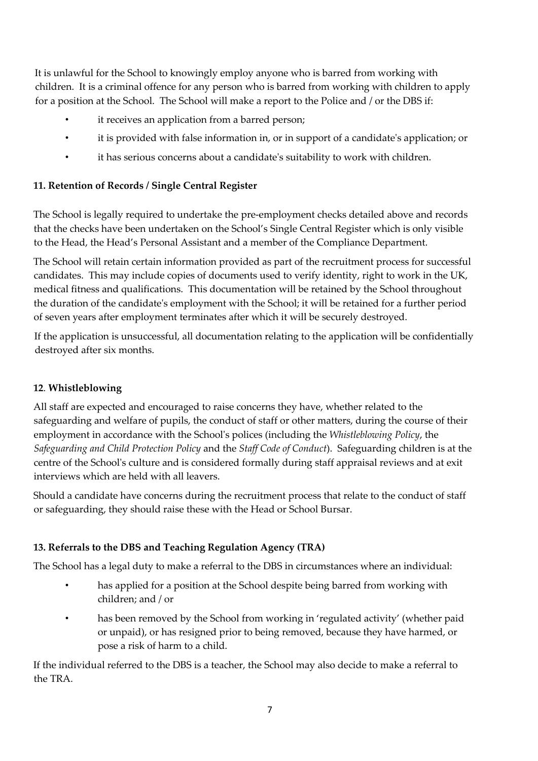It is unlawful for the School to knowingly employ anyone who is barred from working with children. It is a criminal offence for any person who is barred from working with children to apply for a position at the School. The School will make a report to the Police and / or the DBS if:

- it receives an application from a barred person;
- it is provided with false information in, or in support of a candidate's application; or
- it has serious concerns about a candidate's suitability to work with children.

# **11. Retention of Records / Single Central Register**

The School is legally required to undertake the pre-employment checks detailed above and records that the checks have been undertaken on the School's Single Central Register which is only visible to the Head, the Head's Personal Assistant and a member of the Compliance Department.

The School will retain certain information provided as part of the recruitment process for successful candidates. This may include copies of documents used to verify identity, right to work in the UK, medical fitness and qualifications. This documentation will be retained by the School throughout the duration of the candidate's employment with the School; it will be retained for a further period of seven years after employment terminates after which it will be securely destroyed.

If the application is unsuccessful, all documentation relating to the application will be confidentially destroyed after six months.

# **12**. **Whistleblowing**

All staff are expected and encouraged to raise concerns they have, whether related to the safeguarding and welfare of pupils, the conduct of staff or other matters, during the course of their employment in accordance with the School's polices (including the *Whistleblowing Policy*, the *Safeguarding and Child Protection Policy* and the *Staff Code of Conduct*). Safeguarding children is at the centre of the School's culture and is considered formally during staff appraisal reviews and at exit interviews which are held with all leavers.

Should a candidate have concerns during the recruitment process that relate to the conduct of staff or safeguarding, they should raise these with the Head or School Bursar.

# **13. Referrals to the DBS and Teaching Regulation Agency (TRA)**

The School has a legal duty to make a referral to the DBS in circumstances where an individual:

- has applied for a position at the School despite being barred from working with children; and / or
- has been removed by the School from working in 'regulated activity' (whether paid or unpaid), or has resigned prior to being removed, because they have harmed, or pose a risk of harm to a child.

If the individual referred to the DBS is a teacher, the School may also decide to make a referral to the TRA.